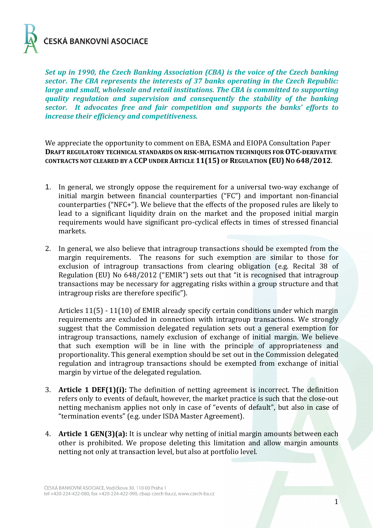

*Set up in 1990, the Czech Banking Association (CBA) is the voice of the Czech banking sector. The CBA represents the interests of 37 banks operating in the Czech Republic: large and small, wholesale and retail institutions. The CBA is committed to supporting quality regulation and supervision and consequently the stability of the banking sector. It advocates free and fair competition and supports the banks' efforts to increase their efficiency and competitiveness.* 

We appreciate the opportunity to comment on EBA, ESMA and EIOPA Consultation Paper **DRAFT REGULATORY TECHNICAL STANDARDS ON RISK-MITIGATION TECHNIQUES FOR OTC-DERIVATIVE CONTRACTS NOT CLEARED BY A CCP UNDER ARTICLE 11(15) OF REGULATION (EU) NO 648/2012**.

- 1. In general, we strongly oppose the requirement for a universal two-way exchange of initial margin between financial counterparties ("FC") and important non-financial counterparties ("NFC+"). We believe that the effects of the proposed rules are likely to lead to a significant liquidity drain on the market and the proposed initial margin requirements would have significant pro-cyclical effects in times of stressed financial markets.
- 2. In general, we also believe that intragroup transactions should be exempted from the margin requirements. The reasons for such exemption are similar to those for exclusion of intragroup transactions from clearing obligation (e.g. Recital 38 of Regulation (EU) No 648/2012 ("EMIR") sets out that "it is recognised that intragroup transactions may be necessary for aggregating risks within a group structure and that intragroup risks are therefore specific").

Articles 11(5) - 11(10) of EMIR already specify certain conditions under which margin requirements are excluded in connection with intragroup transactions. We strongly suggest that the Commission delegated regulation sets out a general exemption for intragroup transactions, namely exclusion of exchange of initial margin. We believe that such exemption will be in line with the principle of appropriateness and proportionality. This general exemption should be set out in the Commission delegated regulation and intragroup transactions should be exempted from exchange of initial margin by virtue of the delegated regulation.

- 3. **Article 1 DEF(1)(i):** The definition of netting agreement is incorrect. The definition refers only to events of default, however, the market practice is such that the close-out netting mechanism applies not only in case of "events of default", but also in case of "termination events" (e.g. under ISDA Master Agreement).
- 4. **Article 1 GEN(3)(a):** It is unclear why netting of initial margin amounts between each other is prohibited. We propose deleting this limitation and allow margin amounts netting not only at transaction level, but also at portfolio level.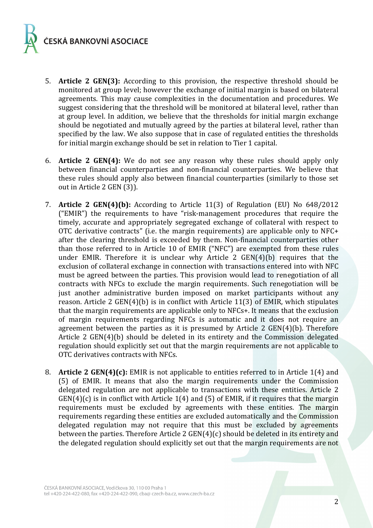

- 5. **Article 2 GEN(3):** According to this provision, the respective threshold should be monitored at group level; however the exchange of initial margin is based on bilateral agreements. This may cause complexities in the documentation and procedures. We suggest considering that the threshold will be monitored at bilateral level, rather than at group level. In addition, we believe that the thresholds for initial margin exchange should be negotiated and mutually agreed by the parties at bilateral level, rather than specified by the law. We also suppose that in case of regulated entities the thresholds for initial margin exchange should be set in relation to Tier 1 capital.
- 6. **Article 2 GEN(4):** We do not see any reason why these rules should apply only between financial counterparties and non-financial counterparties. We believe that these rules should apply also between financial counterparties (similarly to those set out in Article 2 GEN (3)).
- 7. **Article 2 GEN(4)(b):** According to Article 11(3) of Regulation (EU) No 648/2012 ("EMIR") the requirements to have "risk-management procedures that require the timely, accurate and appropriately segregated exchange of collateral with respect to OTC derivative contracts" (i.e. the margin requirements) are applicable only to NFC+ after the clearing threshold is exceeded by them. Non-financial counterparties other than those referred to in Article 10 of EMIR ("NFC") are exempted from these rules under EMIR. Therefore it is unclear why Article 2 GEN(4)(b) requires that the exclusion of collateral exchange in connection with transactions entered into with NFC must be agreed between the parties. This provision would lead to renegotiation of all contracts with NFCs to exclude the margin requirements. Such renegotiation will be just another administrative burden imposed on market participants without any reason. Article 2 GEN(4)(b) is in conflict with Article 11(3) of EMIR, which stipulates that the margin requirements are applicable only to NFCs+. It means that the exclusion of margin requirements regarding NFCs is automatic and it does not require an agreement between the parties as it is presumed by Article 2 GEN(4)(b). Therefore Article 2 GEN(4)(b) should be deleted in its entirety and the Commission delegated regulation should explicitly set out that the margin requirements are not applicable to OTC derivatives contracts with NFCs.
- 8. **Article 2 GEN(4)(c):** EMIR is not applicable to entities referred to in Article 1(4) and (5) of EMIR. It means that also the margin requirements under the Commission delegated regulation are not applicable to transactions with these entities. Article 2  $GEN(4)(c)$  is in conflict with Article 1(4) and (5) of EMIR, if it requires that the margin requirements must be excluded by agreements with these entities. The margin requirements regarding these entities are excluded automatically and the Commission delegated regulation may not require that this must be excluded by agreements between the parties. Therefore Article 2 GEN(4)(c) should be deleted in its entirety and the delegated regulation should explicitly set out that the margin requirements are not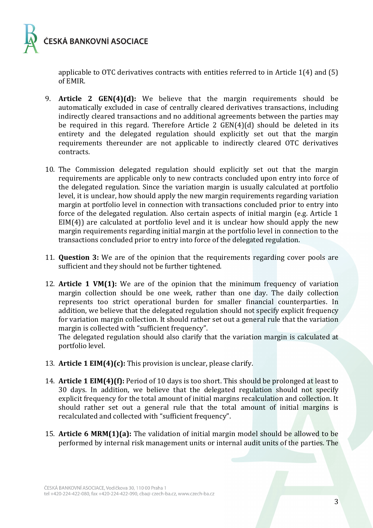

applicable to OTC derivatives contracts with entities referred to in Article 1(4) and (5) of EMIR.

- 9. **Article 2 GEN(4)(d):** We believe that the margin requirements should be automatically excluded in case of centrally cleared derivatives transactions, including indirectly cleared transactions and no additional agreements between the parties may be required in this regard. Therefore Article 2 GEN(4)(d) should be deleted in its entirety and the delegated regulation should explicitly set out that the margin requirements thereunder are not applicable to indirectly cleared OTC derivatives contracts.
- 10. The Commission delegated regulation should explicitly set out that the margin requirements are applicable only to new contracts concluded upon entry into force of the delegated regulation. Since the variation margin is usually calculated at portfolio level, it is unclear, how should apply the new margin requirements regarding variation margin at portfolio level in connection with transactions concluded prior to entry into force of the delegated regulation. Also certain aspects of initial margin (e.g. Article 1 EIM(4)) are calculated at portfolio level and it is unclear how should apply the new margin requirements regarding initial margin at the portfolio level in connection to the transactions concluded prior to entry into force of the delegated regulation.
- 11. **Question 3:** We are of the opinion that the requirements regarding cover pools are sufficient and they should not be further tightened.
- 12. **Article 1 VM(1):** We are of the opinion that the minimum frequency of variation margin collection should be one week, rather than one day. The daily collection represents too strict operational burden for smaller financial counterparties. In addition, we believe that the delegated regulation should not specify explicit frequency for variation margin collection. It should rather set out a general rule that the variation margin is collected with "sufficient frequency".

The delegated regulation should also clarify that the variation margin is calculated at portfolio level.

- 13. **Article 1 EIM(4)(c):** This provision is unclear, please clarify.
- 14. **Article 1 EIM(4)(f):** Period of 10 days is too short. This should be prolonged at least to 30 days. In addition, we believe that the delegated regulation should not specify explicit frequency for the total amount of initial margins recalculation and collection. It should rather set out a general rule that the total amount of initial margins is recalculated and collected with "sufficient frequency".
- 15. **Article 6 MRM(1)(a):** The validation of initial margin model should be allowed to be performed by internal risk management units or internal audit units of the parties. The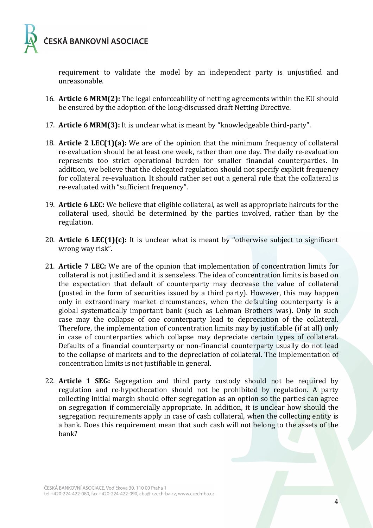

requirement to validate the model by an independent party is unjustified and unreasonable.

- 16. **Article 6 MRM(2):** The legal enforceability of netting agreements within the EU should be ensured by the adoption of the long-discussed draft Netting Directive.
- 17. **Article 6 MRM(3):** It is unclear what is meant by "knowledgeable third-party".
- 18. **Article 2 LEC(1)(a):** We are of the opinion that the minimum frequency of collateral re-evaluation should be at least one week, rather than one day. The daily re-evaluation represents too strict operational burden for smaller financial counterparties. In addition, we believe that the delegated regulation should not specify explicit frequency for collateral re-evaluation. It should rather set out a general rule that the collateral is re-evaluated with "sufficient frequency".
- 19. **Article 6 LEC:** We believe that eligible collateral, as well as appropriate haircuts for the collateral used, should be determined by the parties involved, rather than by the regulation.
- 20. **Article 6 LEC(1)(c):** It is unclear what is meant by "otherwise subject to significant wrong way risk".
- 21. **Article 7 LEC:** We are of the opinion that implementation of concentration limits for collateral is not justified and it is senseless. The idea of concentration limits is based on the expectation that default of counterparty may decrease the value of collateral (posted in the form of securities issued by a third party). However, this may happen only in extraordinary market circumstances, when the defaulting counterparty is a global systematically important bank (such as Lehman Brothers was). Only in such case may the collapse of one counterparty lead to depreciation of the collateral. Therefore, the implementation of concentration limits may by justifiable (if at all) only in case of counterparties which collapse may depreciate certain types of collateral. Defaults of a financial counterparty or non-financial counterparty usually do not lead to the collapse of markets and to the depreciation of collateral. The implementation of concentration limits is not justifiable in general.
- 22. **Article 1 SEG:** Segregation and third party custody should not be required by regulation and re-hypothecation should not be prohibited by regulation. A party collecting initial margin should offer segregation as an option so the parties can agree on segregation if commercially appropriate. In addition, it is unclear how should the segregation requirements apply in case of cash collateral, when the collecting entity is a bank. Does this requirement mean that such cash will not belong to the assets of the bank?